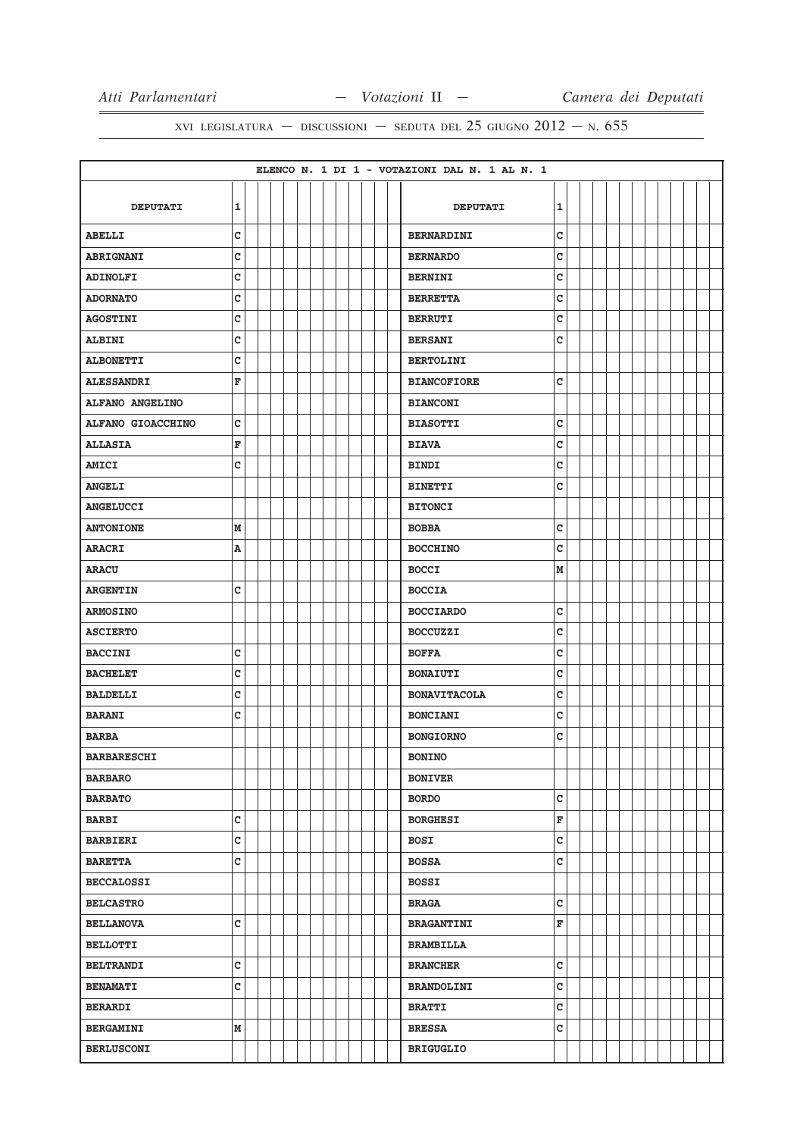|                        |              |  |  |  |  |  |  | ELENCO N. 1 DI 1 - VOTAZIONI DAL N. 1 AL N. 1 |              |  |  |  |  |  |
|------------------------|--------------|--|--|--|--|--|--|-----------------------------------------------|--------------|--|--|--|--|--|
|                        |              |  |  |  |  |  |  |                                               |              |  |  |  |  |  |
| <b>DEPUTATI</b>        | 1            |  |  |  |  |  |  | <b>DEPUTATI</b>                               | ${\bf 1}$    |  |  |  |  |  |
| <b>ABELLI</b>          | $\mathbf{C}$ |  |  |  |  |  |  | <b>BERNARDINI</b>                             | $\mathtt{C}$ |  |  |  |  |  |
| <b>ABRIGNANI</b>       | C            |  |  |  |  |  |  | <b>BERNARDO</b>                               | C            |  |  |  |  |  |
| <b>ADINOLFI</b>        | C            |  |  |  |  |  |  | <b>BERNINI</b>                                | c            |  |  |  |  |  |
| <b>ADORNATO</b>        | C            |  |  |  |  |  |  | <b>BERRETTA</b>                               | C            |  |  |  |  |  |
| <b>AGOSTINI</b>        | C            |  |  |  |  |  |  | <b>BERRUTI</b>                                | c            |  |  |  |  |  |
| <b>ALBINI</b>          | c            |  |  |  |  |  |  | <b>BERSANI</b>                                | c            |  |  |  |  |  |
| <b>ALBONETTI</b>       | C            |  |  |  |  |  |  | <b>BERTOLINI</b>                              |              |  |  |  |  |  |
| <b>ALESSANDRI</b>      | F            |  |  |  |  |  |  | <b>BIANCOFIORE</b>                            | $\mathtt{C}$ |  |  |  |  |  |
| <b>ALFANO ANGELINO</b> |              |  |  |  |  |  |  | <b>BIANCONI</b>                               |              |  |  |  |  |  |
| ALFANO GIOACCHINO      | C            |  |  |  |  |  |  | <b>BIASOTTI</b>                               | C            |  |  |  |  |  |
| <b>ALLASIA</b>         | F            |  |  |  |  |  |  | <b>BIAVA</b>                                  | C            |  |  |  |  |  |
| <b>AMICI</b>           | C            |  |  |  |  |  |  | <b>BINDI</b>                                  | c            |  |  |  |  |  |
| <b>ANGELI</b>          |              |  |  |  |  |  |  | <b>BINETTI</b>                                | c            |  |  |  |  |  |
| <b>ANGELUCCI</b>       |              |  |  |  |  |  |  | <b>BITONCI</b>                                |              |  |  |  |  |  |
| <b>ANTONIONE</b>       | М            |  |  |  |  |  |  | <b>BOBBA</b>                                  | $\mathtt{C}$ |  |  |  |  |  |
| <b>ARACRI</b>          | A            |  |  |  |  |  |  | <b>BOCCHINO</b>                               | c            |  |  |  |  |  |
| <b>ARACU</b>           |              |  |  |  |  |  |  | <b>BOCCI</b>                                  | M            |  |  |  |  |  |
| <b>ARGENTIN</b>        | c            |  |  |  |  |  |  | <b>BOCCIA</b>                                 |              |  |  |  |  |  |
| <b>ARMOSINO</b>        |              |  |  |  |  |  |  | <b>BOCCIARDO</b>                              | с            |  |  |  |  |  |
| <b>ASCIERTO</b>        |              |  |  |  |  |  |  | <b>BOCCUZZI</b>                               | C            |  |  |  |  |  |
| <b>BACCINI</b>         | C            |  |  |  |  |  |  | <b>BOFFA</b>                                  | C            |  |  |  |  |  |
| <b>BACHELET</b>        | $\mathbf c$  |  |  |  |  |  |  | <b>BONAIUTI</b>                               | $\mathbf C$  |  |  |  |  |  |
| <b>BALDELLI</b>        | C            |  |  |  |  |  |  | <b>BONAVITACOLA</b>                           | C            |  |  |  |  |  |
| <b>BARANI</b>          | C            |  |  |  |  |  |  | <b>BONCIANI</b>                               | C            |  |  |  |  |  |
| <b>BARBA</b>           |              |  |  |  |  |  |  | <b>BONGIORNO</b>                              | c            |  |  |  |  |  |
| <b>BARBARESCHI</b>     |              |  |  |  |  |  |  | <b>BONINO</b>                                 |              |  |  |  |  |  |
| <b>BARBARO</b>         |              |  |  |  |  |  |  | <b>BONIVER</b>                                |              |  |  |  |  |  |
| <b>BARBATO</b>         |              |  |  |  |  |  |  | <b>BORDO</b>                                  | $\mathbf{C}$ |  |  |  |  |  |
| <b>BARBI</b>           | C            |  |  |  |  |  |  | <b>BORGHESI</b>                               | F            |  |  |  |  |  |
| <b>BARBIERI</b>        | $\mathbf c$  |  |  |  |  |  |  | <b>BOSI</b>                                   | C            |  |  |  |  |  |
| <b>BARETTA</b>         | $\mathbf c$  |  |  |  |  |  |  | <b>BOSSA</b>                                  | C            |  |  |  |  |  |
| <b>BECCALOSSI</b>      |              |  |  |  |  |  |  | <b>BOSSI</b>                                  |              |  |  |  |  |  |
| <b>BELCASTRO</b>       |              |  |  |  |  |  |  | <b>BRAGA</b>                                  | C            |  |  |  |  |  |
| <b>BELLANOVA</b>       | c            |  |  |  |  |  |  | <b>BRAGANTINI</b>                             | F            |  |  |  |  |  |
| <b>BELLOTTI</b>        |              |  |  |  |  |  |  | <b>BRAMBILLA</b>                              |              |  |  |  |  |  |
| <b>BELTRANDI</b>       | C            |  |  |  |  |  |  | <b>BRANCHER</b>                               | c            |  |  |  |  |  |
| <b>BENAMATI</b>        | $\mathbf c$  |  |  |  |  |  |  | <b>BRANDOLINI</b>                             | C            |  |  |  |  |  |
| <b>BERARDI</b>         |              |  |  |  |  |  |  | <b>BRATTI</b>                                 | $\mathtt{C}$ |  |  |  |  |  |
| <b>BERGAMINI</b>       | М            |  |  |  |  |  |  | <b>BRESSA</b>                                 | $\mathtt{C}$ |  |  |  |  |  |
| <b>BERLUSCONI</b>      |              |  |  |  |  |  |  | <b>BRIGUGLIO</b>                              |              |  |  |  |  |  |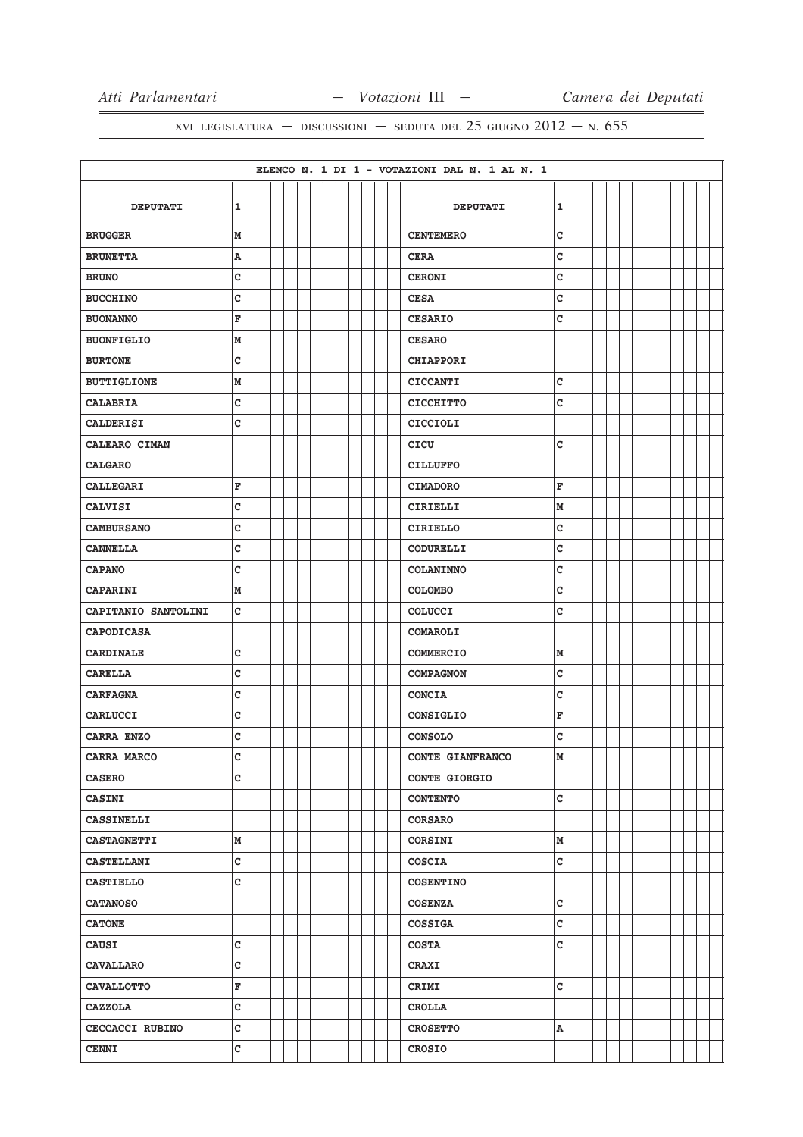|                        |              |  |  |  |  |  |  | ELENCO N. 1 DI 1 - VOTAZIONI DAL N. 1 AL N. 1 |   |  |  |  |  |  |
|------------------------|--------------|--|--|--|--|--|--|-----------------------------------------------|---|--|--|--|--|--|
|                        |              |  |  |  |  |  |  |                                               |   |  |  |  |  |  |
| <b>DEPUTATI</b>        | $\mathbf{1}$ |  |  |  |  |  |  | <b>DEPUTATI</b>                               | 1 |  |  |  |  |  |
| <b>BRUGGER</b>         | $\mathbf M$  |  |  |  |  |  |  | <b>CENTEMERO</b>                              | c |  |  |  |  |  |
| <b>BRUNETTA</b>        | A            |  |  |  |  |  |  | <b>CERA</b>                                   | c |  |  |  |  |  |
| <b>BRUNO</b>           | c            |  |  |  |  |  |  | <b>CERONI</b>                                 | c |  |  |  |  |  |
| <b>BUCCHINO</b>        | c            |  |  |  |  |  |  | <b>CESA</b>                                   | C |  |  |  |  |  |
| <b>BUONANNO</b>        | F            |  |  |  |  |  |  | <b>CESARIO</b>                                | c |  |  |  |  |  |
| <b>BUONFIGLIO</b>      | М            |  |  |  |  |  |  | <b>CESARO</b>                                 |   |  |  |  |  |  |
| <b>BURTONE</b>         | c            |  |  |  |  |  |  | <b>CHIAPPORI</b>                              |   |  |  |  |  |  |
| <b>BUTTIGLIONE</b>     | M            |  |  |  |  |  |  | <b>CICCANTI</b>                               | C |  |  |  |  |  |
| <b>CALABRIA</b>        | c            |  |  |  |  |  |  | <b>CICCHITTO</b>                              | c |  |  |  |  |  |
| <b>CALDERISI</b>       | C            |  |  |  |  |  |  | <b>CICCIOLI</b>                               |   |  |  |  |  |  |
| CALEARO CIMAN          |              |  |  |  |  |  |  | CICU                                          | C |  |  |  |  |  |
| <b>CALGARO</b>         |              |  |  |  |  |  |  | <b>CILLUFFO</b>                               |   |  |  |  |  |  |
| <b>CALLEGARI</b>       | F            |  |  |  |  |  |  | <b>CIMADORO</b>                               | F |  |  |  |  |  |
| <b>CALVISI</b>         | C            |  |  |  |  |  |  | CIRIELLI                                      | M |  |  |  |  |  |
| <b>CAMBURSANO</b>      | c            |  |  |  |  |  |  | <b>CIRIELLO</b>                               | c |  |  |  |  |  |
| <b>CANNELLA</b>        | c            |  |  |  |  |  |  | CODURELLI                                     | c |  |  |  |  |  |
| <b>CAPANO</b>          | c            |  |  |  |  |  |  | <b>COLANINNO</b>                              | C |  |  |  |  |  |
| <b>CAPARINI</b>        | M            |  |  |  |  |  |  | <b>COLOMBO</b>                                | C |  |  |  |  |  |
| CAPITANIO SANTOLINI    | c            |  |  |  |  |  |  | <b>COLUCCI</b>                                | C |  |  |  |  |  |
| <b>CAPODICASA</b>      |              |  |  |  |  |  |  | COMAROLI                                      |   |  |  |  |  |  |
| <b>CARDINALE</b>       | C            |  |  |  |  |  |  | <b>COMMERCIO</b>                              | M |  |  |  |  |  |
| <b>CARELLA</b>         | c            |  |  |  |  |  |  | <b>COMPAGNON</b>                              | C |  |  |  |  |  |
| <b>CARFAGNA</b>        | C            |  |  |  |  |  |  | <b>CONCIA</b>                                 | c |  |  |  |  |  |
| CARLUCCI               | c            |  |  |  |  |  |  | CONSIGLIO                                     | F |  |  |  |  |  |
| CARRA ENZO             | c            |  |  |  |  |  |  | <b>CONSOLO</b>                                | C |  |  |  |  |  |
| CARRA MARCO            | c            |  |  |  |  |  |  | CONTE GIANFRANCO                              | M |  |  |  |  |  |
| <b>CASERO</b>          | C            |  |  |  |  |  |  | <b>CONTE GIORGIO</b>                          |   |  |  |  |  |  |
| <b>CASINI</b>          |              |  |  |  |  |  |  | <b>CONTENTO</b>                               | c |  |  |  |  |  |
| <b>CASSINELLI</b>      |              |  |  |  |  |  |  | <b>CORSARO</b>                                |   |  |  |  |  |  |
| <b>CASTAGNETTI</b>     | М            |  |  |  |  |  |  | CORSINI                                       | M |  |  |  |  |  |
| <b>CASTELLANI</b>      | c            |  |  |  |  |  |  | <b>COSCIA</b>                                 | c |  |  |  |  |  |
| <b>CASTIELLO</b>       | c            |  |  |  |  |  |  | <b>COSENTINO</b>                              |   |  |  |  |  |  |
| <b>CATANOSO</b>        |              |  |  |  |  |  |  | <b>COSENZA</b>                                | c |  |  |  |  |  |
| <b>CATONE</b>          |              |  |  |  |  |  |  | <b>COSSIGA</b>                                | c |  |  |  |  |  |
| <b>CAUSI</b>           | c            |  |  |  |  |  |  | <b>COSTA</b>                                  | c |  |  |  |  |  |
| <b>CAVALLARO</b>       | c            |  |  |  |  |  |  | <b>CRAXI</b>                                  |   |  |  |  |  |  |
| <b>CAVALLOTTO</b>      | F            |  |  |  |  |  |  | CRIMI                                         | C |  |  |  |  |  |
| <b>CAZZOLA</b>         | c            |  |  |  |  |  |  | <b>CROLLA</b>                                 |   |  |  |  |  |  |
| <b>CECCACCI RUBINO</b> | c            |  |  |  |  |  |  | <b>CROSETTO</b>                               | A |  |  |  |  |  |
| <b>CENNI</b>           | c            |  |  |  |  |  |  | <b>CROSIO</b>                                 |   |  |  |  |  |  |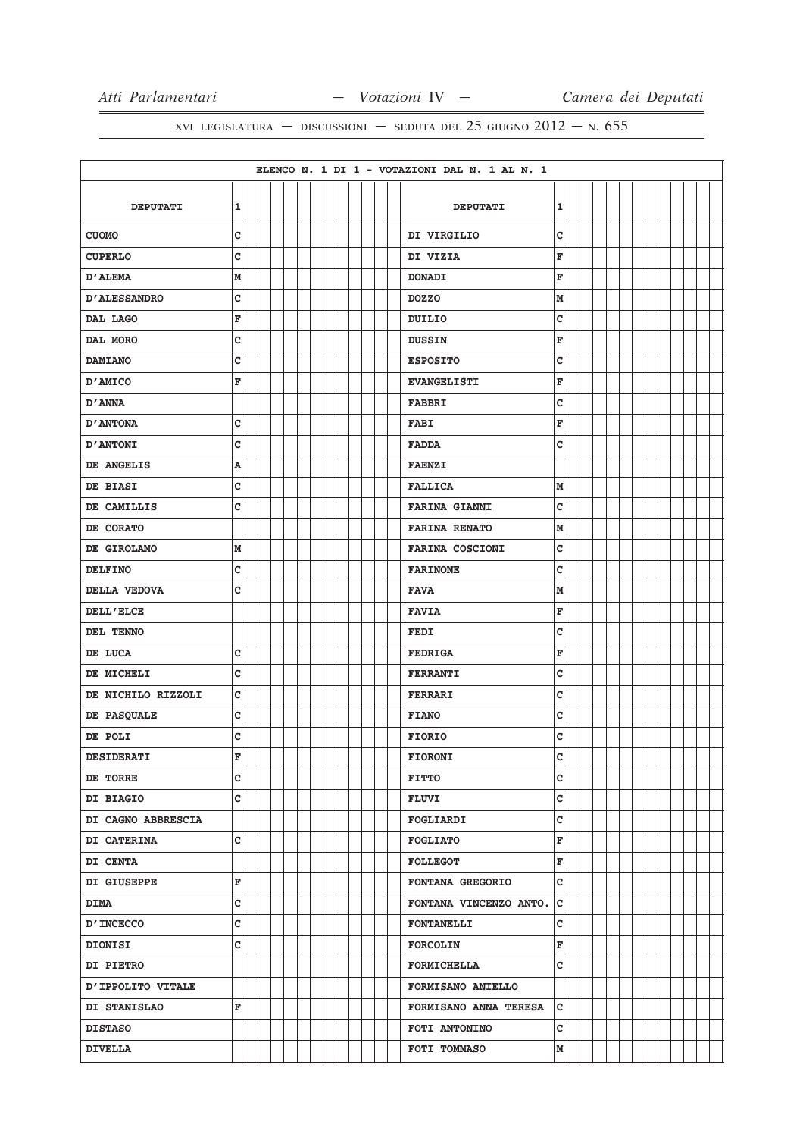| 1<br>1<br><b>DEPUTATI</b><br><b>DEPUTATI</b><br>C<br>с<br><b>CUOMO</b><br>DI VIRGILIO<br>C<br>F<br>DI VIZIA<br><b>CUPERLO</b><br>F<br>M<br><b>D'ALEMA</b><br><b>DONADI</b><br>с<br>M<br><b>D'ALESSANDRO</b><br><b>DOZZO</b><br>c<br>F<br>DAL LAGO<br><b>DUILIO</b><br>c<br>F<br>DAL MORO<br>DUSSIN<br>c<br>c<br><b>DAMIANO</b><br><b>ESPOSITO</b><br>F<br>F<br>D'AMICO<br><b>EVANGELISTI</b><br>c<br>D'ANNA<br><b>FABBRI</b><br>F<br>с<br><b>D'ANTONA</b><br><b>FABI</b><br>C<br>с<br><b>D'ANTONI</b><br><b>FADDA</b><br>$\, {\bf A}$<br>DE ANGELIS<br><b>FAENZI</b><br>c<br>M<br>DE BIASI<br><b>FALLICA</b><br>с<br>c<br>DE CAMILLIS<br><b>FARINA GIANNI</b><br>M<br>DE CORATO<br><b>FARINA RENATO</b><br>c<br>DE GIROLAMO<br>М<br><b>FARINA COSCIONI</b><br>c<br>c<br><b>DELFINO</b><br><b>FARINONE</b><br>C<br>M<br>DELLA VEDOVA<br><b>FAVA</b><br>F<br><b>DELL'ELCE</b><br><b>FAVIA</b><br>c<br>DEL TENNO<br>FEDI<br>с<br>F<br>DE LUCA<br><b>FEDRIGA</b><br>C<br>c<br>DE MICHELI<br><b>FERRANTI</b><br>c<br>c<br>DE NICHILO RIZZOLI<br><b>FERRARI</b><br>C<br>c<br>DE PASQUALE<br><b>FIANO</b><br>c<br>C<br>DE POLI<br><b>FIORIO</b><br>F<br>Ć<br><b>DESIDERATI</b><br><b>FIORONI</b><br>c<br>c<br><b>FITTO</b><br>DE TORRE<br>c<br>C<br>DI BIAGIO<br><b>FLUVI</b><br>c<br>DI CAGNO ABBRESCIA<br><b>FOGLIARDI</b><br>C<br>$\mathbf F$<br>DI CATERINA<br><b>FOGLIATO</b><br>F<br><b>DI CENTA</b><br><b>FOLLEGOT</b><br>c<br>F<br>DI GIUSEPPE<br>FONTANA GREGORIO<br>c<br>$\mathtt{C}$<br><b>DIMA</b><br>FONTANA VINCENZO ANTO.<br>c<br>c<br><b>D'INCECCO</b><br><b>FONTANELLI</b><br>C<br>F<br>DIONISI<br><b>FORCOLIN</b><br>c<br><b>DI PIETRO</b><br><b>FORMICHELLA</b><br>D'IPPOLITO VITALE<br><b>FORMISANO ANIELLO</b><br>$\mathbf{C}$<br>F<br>FORMISANO ANNA TERESA<br>DI STANISLAO<br>c<br><b>DISTASO</b><br>FOTI ANTONINO |                |  |  |  |  |  |  | ELENCO N. 1 DI 1 - VOTAZIONI DAL N. 1 AL N. 1 |   |  |  |  |  |  |
|------------------------------------------------------------------------------------------------------------------------------------------------------------------------------------------------------------------------------------------------------------------------------------------------------------------------------------------------------------------------------------------------------------------------------------------------------------------------------------------------------------------------------------------------------------------------------------------------------------------------------------------------------------------------------------------------------------------------------------------------------------------------------------------------------------------------------------------------------------------------------------------------------------------------------------------------------------------------------------------------------------------------------------------------------------------------------------------------------------------------------------------------------------------------------------------------------------------------------------------------------------------------------------------------------------------------------------------------------------------------------------------------------------------------------------------------------------------------------------------------------------------------------------------------------------------------------------------------------------------------------------------------------------------------------------------------------------------------------------------------------------------------------------------------------------------------------------|----------------|--|--|--|--|--|--|-----------------------------------------------|---|--|--|--|--|--|
|                                                                                                                                                                                                                                                                                                                                                                                                                                                                                                                                                                                                                                                                                                                                                                                                                                                                                                                                                                                                                                                                                                                                                                                                                                                                                                                                                                                                                                                                                                                                                                                                                                                                                                                                                                                                                                    |                |  |  |  |  |  |  |                                               |   |  |  |  |  |  |
|                                                                                                                                                                                                                                                                                                                                                                                                                                                                                                                                                                                                                                                                                                                                                                                                                                                                                                                                                                                                                                                                                                                                                                                                                                                                                                                                                                                                                                                                                                                                                                                                                                                                                                                                                                                                                                    |                |  |  |  |  |  |  |                                               |   |  |  |  |  |  |
|                                                                                                                                                                                                                                                                                                                                                                                                                                                                                                                                                                                                                                                                                                                                                                                                                                                                                                                                                                                                                                                                                                                                                                                                                                                                                                                                                                                                                                                                                                                                                                                                                                                                                                                                                                                                                                    |                |  |  |  |  |  |  |                                               |   |  |  |  |  |  |
|                                                                                                                                                                                                                                                                                                                                                                                                                                                                                                                                                                                                                                                                                                                                                                                                                                                                                                                                                                                                                                                                                                                                                                                                                                                                                                                                                                                                                                                                                                                                                                                                                                                                                                                                                                                                                                    |                |  |  |  |  |  |  |                                               |   |  |  |  |  |  |
|                                                                                                                                                                                                                                                                                                                                                                                                                                                                                                                                                                                                                                                                                                                                                                                                                                                                                                                                                                                                                                                                                                                                                                                                                                                                                                                                                                                                                                                                                                                                                                                                                                                                                                                                                                                                                                    |                |  |  |  |  |  |  |                                               |   |  |  |  |  |  |
|                                                                                                                                                                                                                                                                                                                                                                                                                                                                                                                                                                                                                                                                                                                                                                                                                                                                                                                                                                                                                                                                                                                                                                                                                                                                                                                                                                                                                                                                                                                                                                                                                                                                                                                                                                                                                                    |                |  |  |  |  |  |  |                                               |   |  |  |  |  |  |
|                                                                                                                                                                                                                                                                                                                                                                                                                                                                                                                                                                                                                                                                                                                                                                                                                                                                                                                                                                                                                                                                                                                                                                                                                                                                                                                                                                                                                                                                                                                                                                                                                                                                                                                                                                                                                                    |                |  |  |  |  |  |  |                                               |   |  |  |  |  |  |
|                                                                                                                                                                                                                                                                                                                                                                                                                                                                                                                                                                                                                                                                                                                                                                                                                                                                                                                                                                                                                                                                                                                                                                                                                                                                                                                                                                                                                                                                                                                                                                                                                                                                                                                                                                                                                                    |                |  |  |  |  |  |  |                                               |   |  |  |  |  |  |
|                                                                                                                                                                                                                                                                                                                                                                                                                                                                                                                                                                                                                                                                                                                                                                                                                                                                                                                                                                                                                                                                                                                                                                                                                                                                                                                                                                                                                                                                                                                                                                                                                                                                                                                                                                                                                                    |                |  |  |  |  |  |  |                                               |   |  |  |  |  |  |
|                                                                                                                                                                                                                                                                                                                                                                                                                                                                                                                                                                                                                                                                                                                                                                                                                                                                                                                                                                                                                                                                                                                                                                                                                                                                                                                                                                                                                                                                                                                                                                                                                                                                                                                                                                                                                                    |                |  |  |  |  |  |  |                                               |   |  |  |  |  |  |
|                                                                                                                                                                                                                                                                                                                                                                                                                                                                                                                                                                                                                                                                                                                                                                                                                                                                                                                                                                                                                                                                                                                                                                                                                                                                                                                                                                                                                                                                                                                                                                                                                                                                                                                                                                                                                                    |                |  |  |  |  |  |  |                                               |   |  |  |  |  |  |
|                                                                                                                                                                                                                                                                                                                                                                                                                                                                                                                                                                                                                                                                                                                                                                                                                                                                                                                                                                                                                                                                                                                                                                                                                                                                                                                                                                                                                                                                                                                                                                                                                                                                                                                                                                                                                                    |                |  |  |  |  |  |  |                                               |   |  |  |  |  |  |
|                                                                                                                                                                                                                                                                                                                                                                                                                                                                                                                                                                                                                                                                                                                                                                                                                                                                                                                                                                                                                                                                                                                                                                                                                                                                                                                                                                                                                                                                                                                                                                                                                                                                                                                                                                                                                                    |                |  |  |  |  |  |  |                                               |   |  |  |  |  |  |
|                                                                                                                                                                                                                                                                                                                                                                                                                                                                                                                                                                                                                                                                                                                                                                                                                                                                                                                                                                                                                                                                                                                                                                                                                                                                                                                                                                                                                                                                                                                                                                                                                                                                                                                                                                                                                                    |                |  |  |  |  |  |  |                                               |   |  |  |  |  |  |
|                                                                                                                                                                                                                                                                                                                                                                                                                                                                                                                                                                                                                                                                                                                                                                                                                                                                                                                                                                                                                                                                                                                                                                                                                                                                                                                                                                                                                                                                                                                                                                                                                                                                                                                                                                                                                                    |                |  |  |  |  |  |  |                                               |   |  |  |  |  |  |
|                                                                                                                                                                                                                                                                                                                                                                                                                                                                                                                                                                                                                                                                                                                                                                                                                                                                                                                                                                                                                                                                                                                                                                                                                                                                                                                                                                                                                                                                                                                                                                                                                                                                                                                                                                                                                                    |                |  |  |  |  |  |  |                                               |   |  |  |  |  |  |
|                                                                                                                                                                                                                                                                                                                                                                                                                                                                                                                                                                                                                                                                                                                                                                                                                                                                                                                                                                                                                                                                                                                                                                                                                                                                                                                                                                                                                                                                                                                                                                                                                                                                                                                                                                                                                                    |                |  |  |  |  |  |  |                                               |   |  |  |  |  |  |
|                                                                                                                                                                                                                                                                                                                                                                                                                                                                                                                                                                                                                                                                                                                                                                                                                                                                                                                                                                                                                                                                                                                                                                                                                                                                                                                                                                                                                                                                                                                                                                                                                                                                                                                                                                                                                                    |                |  |  |  |  |  |  |                                               |   |  |  |  |  |  |
|                                                                                                                                                                                                                                                                                                                                                                                                                                                                                                                                                                                                                                                                                                                                                                                                                                                                                                                                                                                                                                                                                                                                                                                                                                                                                                                                                                                                                                                                                                                                                                                                                                                                                                                                                                                                                                    |                |  |  |  |  |  |  |                                               |   |  |  |  |  |  |
|                                                                                                                                                                                                                                                                                                                                                                                                                                                                                                                                                                                                                                                                                                                                                                                                                                                                                                                                                                                                                                                                                                                                                                                                                                                                                                                                                                                                                                                                                                                                                                                                                                                                                                                                                                                                                                    |                |  |  |  |  |  |  |                                               |   |  |  |  |  |  |
|                                                                                                                                                                                                                                                                                                                                                                                                                                                                                                                                                                                                                                                                                                                                                                                                                                                                                                                                                                                                                                                                                                                                                                                                                                                                                                                                                                                                                                                                                                                                                                                                                                                                                                                                                                                                                                    |                |  |  |  |  |  |  |                                               |   |  |  |  |  |  |
|                                                                                                                                                                                                                                                                                                                                                                                                                                                                                                                                                                                                                                                                                                                                                                                                                                                                                                                                                                                                                                                                                                                                                                                                                                                                                                                                                                                                                                                                                                                                                                                                                                                                                                                                                                                                                                    |                |  |  |  |  |  |  |                                               |   |  |  |  |  |  |
|                                                                                                                                                                                                                                                                                                                                                                                                                                                                                                                                                                                                                                                                                                                                                                                                                                                                                                                                                                                                                                                                                                                                                                                                                                                                                                                                                                                                                                                                                                                                                                                                                                                                                                                                                                                                                                    |                |  |  |  |  |  |  |                                               |   |  |  |  |  |  |
|                                                                                                                                                                                                                                                                                                                                                                                                                                                                                                                                                                                                                                                                                                                                                                                                                                                                                                                                                                                                                                                                                                                                                                                                                                                                                                                                                                                                                                                                                                                                                                                                                                                                                                                                                                                                                                    |                |  |  |  |  |  |  |                                               |   |  |  |  |  |  |
|                                                                                                                                                                                                                                                                                                                                                                                                                                                                                                                                                                                                                                                                                                                                                                                                                                                                                                                                                                                                                                                                                                                                                                                                                                                                                                                                                                                                                                                                                                                                                                                                                                                                                                                                                                                                                                    |                |  |  |  |  |  |  |                                               |   |  |  |  |  |  |
|                                                                                                                                                                                                                                                                                                                                                                                                                                                                                                                                                                                                                                                                                                                                                                                                                                                                                                                                                                                                                                                                                                                                                                                                                                                                                                                                                                                                                                                                                                                                                                                                                                                                                                                                                                                                                                    |                |  |  |  |  |  |  |                                               |   |  |  |  |  |  |
|                                                                                                                                                                                                                                                                                                                                                                                                                                                                                                                                                                                                                                                                                                                                                                                                                                                                                                                                                                                                                                                                                                                                                                                                                                                                                                                                                                                                                                                                                                                                                                                                                                                                                                                                                                                                                                    |                |  |  |  |  |  |  |                                               |   |  |  |  |  |  |
|                                                                                                                                                                                                                                                                                                                                                                                                                                                                                                                                                                                                                                                                                                                                                                                                                                                                                                                                                                                                                                                                                                                                                                                                                                                                                                                                                                                                                                                                                                                                                                                                                                                                                                                                                                                                                                    |                |  |  |  |  |  |  |                                               |   |  |  |  |  |  |
|                                                                                                                                                                                                                                                                                                                                                                                                                                                                                                                                                                                                                                                                                                                                                                                                                                                                                                                                                                                                                                                                                                                                                                                                                                                                                                                                                                                                                                                                                                                                                                                                                                                                                                                                                                                                                                    |                |  |  |  |  |  |  |                                               |   |  |  |  |  |  |
|                                                                                                                                                                                                                                                                                                                                                                                                                                                                                                                                                                                                                                                                                                                                                                                                                                                                                                                                                                                                                                                                                                                                                                                                                                                                                                                                                                                                                                                                                                                                                                                                                                                                                                                                                                                                                                    |                |  |  |  |  |  |  |                                               |   |  |  |  |  |  |
|                                                                                                                                                                                                                                                                                                                                                                                                                                                                                                                                                                                                                                                                                                                                                                                                                                                                                                                                                                                                                                                                                                                                                                                                                                                                                                                                                                                                                                                                                                                                                                                                                                                                                                                                                                                                                                    |                |  |  |  |  |  |  |                                               |   |  |  |  |  |  |
|                                                                                                                                                                                                                                                                                                                                                                                                                                                                                                                                                                                                                                                                                                                                                                                                                                                                                                                                                                                                                                                                                                                                                                                                                                                                                                                                                                                                                                                                                                                                                                                                                                                                                                                                                                                                                                    |                |  |  |  |  |  |  |                                               |   |  |  |  |  |  |
|                                                                                                                                                                                                                                                                                                                                                                                                                                                                                                                                                                                                                                                                                                                                                                                                                                                                                                                                                                                                                                                                                                                                                                                                                                                                                                                                                                                                                                                                                                                                                                                                                                                                                                                                                                                                                                    |                |  |  |  |  |  |  |                                               |   |  |  |  |  |  |
|                                                                                                                                                                                                                                                                                                                                                                                                                                                                                                                                                                                                                                                                                                                                                                                                                                                                                                                                                                                                                                                                                                                                                                                                                                                                                                                                                                                                                                                                                                                                                                                                                                                                                                                                                                                                                                    |                |  |  |  |  |  |  |                                               |   |  |  |  |  |  |
|                                                                                                                                                                                                                                                                                                                                                                                                                                                                                                                                                                                                                                                                                                                                                                                                                                                                                                                                                                                                                                                                                                                                                                                                                                                                                                                                                                                                                                                                                                                                                                                                                                                                                                                                                                                                                                    |                |  |  |  |  |  |  |                                               |   |  |  |  |  |  |
|                                                                                                                                                                                                                                                                                                                                                                                                                                                                                                                                                                                                                                                                                                                                                                                                                                                                                                                                                                                                                                                                                                                                                                                                                                                                                                                                                                                                                                                                                                                                                                                                                                                                                                                                                                                                                                    |                |  |  |  |  |  |  |                                               |   |  |  |  |  |  |
|                                                                                                                                                                                                                                                                                                                                                                                                                                                                                                                                                                                                                                                                                                                                                                                                                                                                                                                                                                                                                                                                                                                                                                                                                                                                                                                                                                                                                                                                                                                                                                                                                                                                                                                                                                                                                                    |                |  |  |  |  |  |  |                                               |   |  |  |  |  |  |
|                                                                                                                                                                                                                                                                                                                                                                                                                                                                                                                                                                                                                                                                                                                                                                                                                                                                                                                                                                                                                                                                                                                                                                                                                                                                                                                                                                                                                                                                                                                                                                                                                                                                                                                                                                                                                                    |                |  |  |  |  |  |  |                                               |   |  |  |  |  |  |
|                                                                                                                                                                                                                                                                                                                                                                                                                                                                                                                                                                                                                                                                                                                                                                                                                                                                                                                                                                                                                                                                                                                                                                                                                                                                                                                                                                                                                                                                                                                                                                                                                                                                                                                                                                                                                                    |                |  |  |  |  |  |  |                                               |   |  |  |  |  |  |
|                                                                                                                                                                                                                                                                                                                                                                                                                                                                                                                                                                                                                                                                                                                                                                                                                                                                                                                                                                                                                                                                                                                                                                                                                                                                                                                                                                                                                                                                                                                                                                                                                                                                                                                                                                                                                                    |                |  |  |  |  |  |  |                                               |   |  |  |  |  |  |
|                                                                                                                                                                                                                                                                                                                                                                                                                                                                                                                                                                                                                                                                                                                                                                                                                                                                                                                                                                                                                                                                                                                                                                                                                                                                                                                                                                                                                                                                                                                                                                                                                                                                                                                                                                                                                                    |                |  |  |  |  |  |  |                                               |   |  |  |  |  |  |
|                                                                                                                                                                                                                                                                                                                                                                                                                                                                                                                                                                                                                                                                                                                                                                                                                                                                                                                                                                                                                                                                                                                                                                                                                                                                                                                                                                                                                                                                                                                                                                                                                                                                                                                                                                                                                                    | <b>DIVELLA</b> |  |  |  |  |  |  | <b>FOTI TOMMASO</b>                           | М |  |  |  |  |  |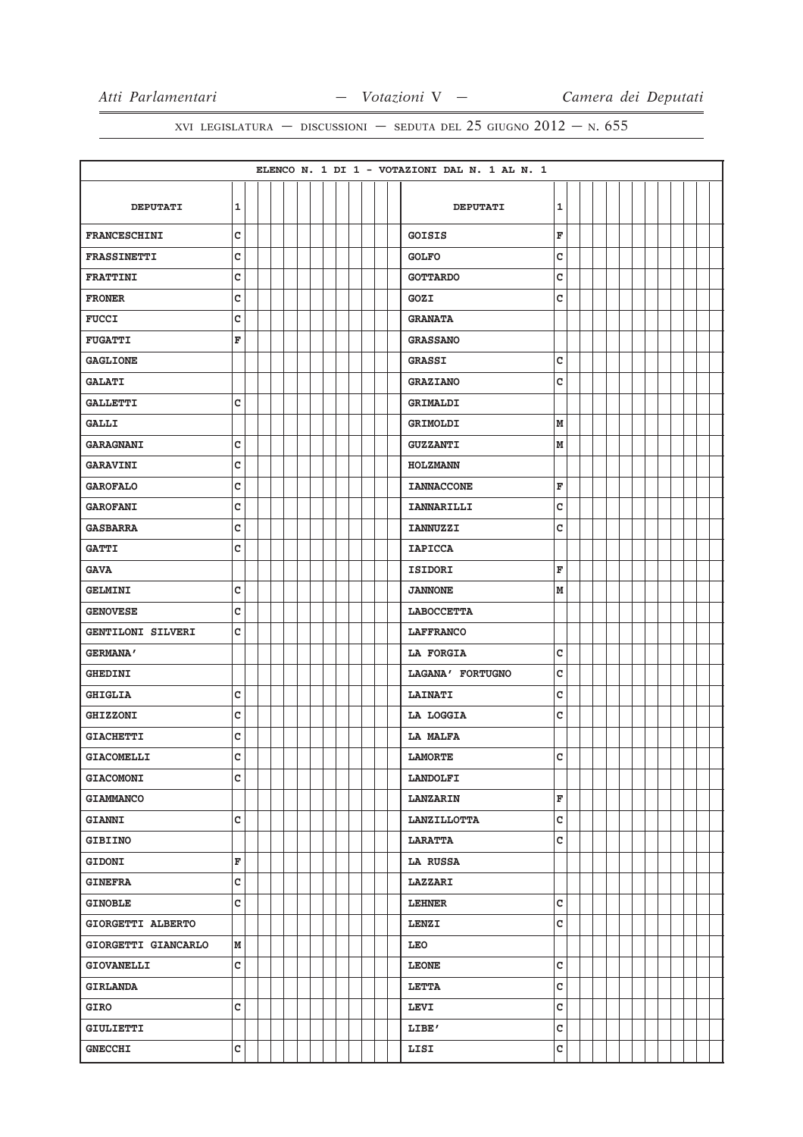|                          |                         |  |  |  |  |  |  | ELENCO N. 1 DI 1 - VOTAZIONI DAL N. 1 AL N. 1 |              |  |  |  |  |  |
|--------------------------|-------------------------|--|--|--|--|--|--|-----------------------------------------------|--------------|--|--|--|--|--|
|                          |                         |  |  |  |  |  |  |                                               |              |  |  |  |  |  |
| <b>DEPUTATI</b>          | 1                       |  |  |  |  |  |  | <b>DEPUTATI</b>                               | ${\bf 1}$    |  |  |  |  |  |
| <b>FRANCESCHINI</b>      | $\mathbf{C}$            |  |  |  |  |  |  | <b>GOISIS</b>                                 | F            |  |  |  |  |  |
| <b>FRASSINETTI</b>       | c                       |  |  |  |  |  |  | <b>GOLFO</b>                                  | C            |  |  |  |  |  |
| <b>FRATTINI</b>          | C                       |  |  |  |  |  |  | <b>GOTTARDO</b>                               | c            |  |  |  |  |  |
| <b>FRONER</b>            | C                       |  |  |  |  |  |  | GOZI                                          | C            |  |  |  |  |  |
| <b>FUCCI</b>             | c                       |  |  |  |  |  |  | <b>GRANATA</b>                                |              |  |  |  |  |  |
| <b>FUGATTI</b>           | F                       |  |  |  |  |  |  | <b>GRASSANO</b>                               |              |  |  |  |  |  |
| <b>GAGLIONE</b>          |                         |  |  |  |  |  |  | <b>GRASSI</b>                                 | C            |  |  |  |  |  |
| <b>GALATI</b>            |                         |  |  |  |  |  |  | <b>GRAZIANO</b>                               | $\mathtt{C}$ |  |  |  |  |  |
| <b>GALLETTI</b>          | c                       |  |  |  |  |  |  | <b>GRIMALDI</b>                               |              |  |  |  |  |  |
| <b>GALLI</b>             |                         |  |  |  |  |  |  | GRIMOLDI                                      | M            |  |  |  |  |  |
| <b>GARAGNANI</b>         | C                       |  |  |  |  |  |  | <b>GUZZANTI</b>                               | M            |  |  |  |  |  |
| <b>GARAVINI</b>          | C                       |  |  |  |  |  |  | <b>HOLZMANN</b>                               |              |  |  |  |  |  |
| <b>GAROFALO</b>          | c                       |  |  |  |  |  |  | <b>IANNACCONE</b>                             | F            |  |  |  |  |  |
| <b>GAROFANI</b>          | C                       |  |  |  |  |  |  | <b>IANNARILLI</b>                             | C            |  |  |  |  |  |
| <b>GASBARRA</b>          | $\mathbf{C}$            |  |  |  |  |  |  | <b>IANNUZZI</b>                               | $\mathtt{C}$ |  |  |  |  |  |
| <b>GATTI</b>             | c                       |  |  |  |  |  |  | <b>IAPICCA</b>                                |              |  |  |  |  |  |
| <b>GAVA</b>              |                         |  |  |  |  |  |  | <b>ISIDORI</b>                                | F            |  |  |  |  |  |
| <b>GELMINI</b>           | C                       |  |  |  |  |  |  | <b>JANNONE</b>                                | M            |  |  |  |  |  |
| <b>GENOVESE</b>          | C                       |  |  |  |  |  |  | <b>LABOCCETTA</b>                             |              |  |  |  |  |  |
| <b>GENTILONI SILVERI</b> | C                       |  |  |  |  |  |  | <b>LAFFRANCO</b>                              |              |  |  |  |  |  |
| <b>GERMANA'</b>          |                         |  |  |  |  |  |  | LA FORGIA                                     | C            |  |  |  |  |  |
| <b>GHEDINI</b>           |                         |  |  |  |  |  |  | LAGANA' FORTUGNO                              | $\mathbf C$  |  |  |  |  |  |
| <b>GHIGLIA</b>           | с                       |  |  |  |  |  |  | <b>LAINATI</b>                                | c            |  |  |  |  |  |
| <b>GHIZZONI</b>          | C                       |  |  |  |  |  |  | LA LOGGIA                                     | c            |  |  |  |  |  |
| <b>GIACHETTI</b>         | C                       |  |  |  |  |  |  | <b>LA MALFA</b>                               |              |  |  |  |  |  |
| <b>GIACOMELLI</b>        | C                       |  |  |  |  |  |  | <b>LAMORTE</b>                                | c            |  |  |  |  |  |
| <b>GIACOMONI</b>         | C                       |  |  |  |  |  |  | <b>LANDOLFI</b>                               |              |  |  |  |  |  |
| <b>GIAMMANCO</b>         |                         |  |  |  |  |  |  | <b>LANZARIN</b>                               | F            |  |  |  |  |  |
| <b>GIANNI</b>            | c                       |  |  |  |  |  |  | <b>LANZILLOTTA</b>                            | $\mathtt{c}$ |  |  |  |  |  |
| <b>GIBIINO</b>           |                         |  |  |  |  |  |  | <b>LARATTA</b>                                | $\mathtt{C}$ |  |  |  |  |  |
| <b>GIDONI</b>            | $\overline{\mathbf{F}}$ |  |  |  |  |  |  | <b>LA RUSSA</b>                               |              |  |  |  |  |  |
| <b>GINEFRA</b>           | c                       |  |  |  |  |  |  | <b>LAZZARI</b>                                |              |  |  |  |  |  |
| <b>GINOBLE</b>           | c                       |  |  |  |  |  |  | <b>LEHNER</b>                                 | $\mathtt{C}$ |  |  |  |  |  |
| GIORGETTI ALBERTO        |                         |  |  |  |  |  |  | <b>LENZI</b>                                  | $\mathtt{C}$ |  |  |  |  |  |
| GIORGETTI GIANCARLO      | М                       |  |  |  |  |  |  | LEO                                           |              |  |  |  |  |  |
| <b>GIOVANELLI</b>        | c                       |  |  |  |  |  |  | <b>LEONE</b>                                  | $\mathtt{C}$ |  |  |  |  |  |
| <b>GIRLANDA</b>          |                         |  |  |  |  |  |  | LETTA                                         | $\mathtt{C}$ |  |  |  |  |  |
| GIRO                     | C                       |  |  |  |  |  |  | <b>LEVI</b>                                   | $\mathtt{C}$ |  |  |  |  |  |
| GIULIETTI                |                         |  |  |  |  |  |  | LIBE'                                         | $\mathtt{C}$ |  |  |  |  |  |
| <b>GNECCHI</b>           | C                       |  |  |  |  |  |  | LISI                                          | $\mathtt{C}$ |  |  |  |  |  |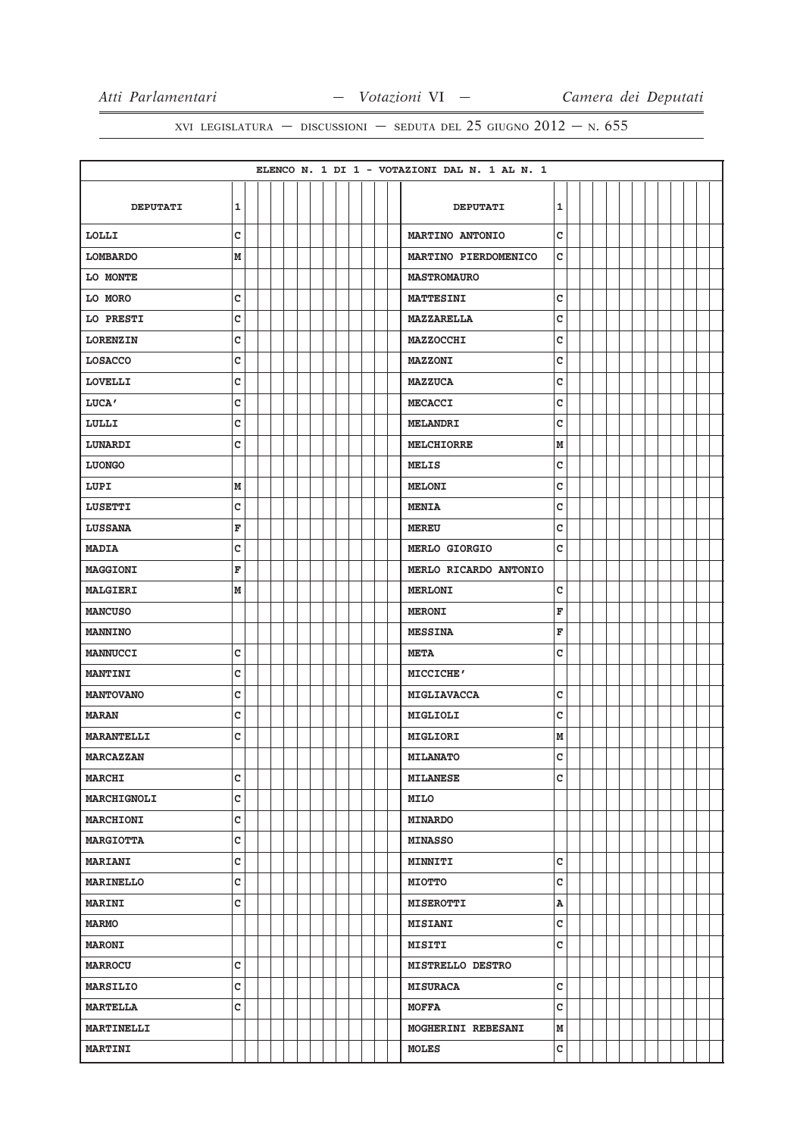|                   |                |  |  |  |  |  |  | ELENCO N. 1 DI 1 - VOTAZIONI DAL N. 1 AL N. 1 |   |  |  |  |  |  |
|-------------------|----------------|--|--|--|--|--|--|-----------------------------------------------|---|--|--|--|--|--|
|                   |                |  |  |  |  |  |  |                                               |   |  |  |  |  |  |
| <b>DEPUTATI</b>   | 1              |  |  |  |  |  |  | <b>DEPUTATI</b>                               | 1 |  |  |  |  |  |
| LOLLI             | C              |  |  |  |  |  |  | <b>MARTINO ANTONIO</b>                        | C |  |  |  |  |  |
| <b>LOMBARDO</b>   | M              |  |  |  |  |  |  | MARTINO PIERDOMENICO                          | c |  |  |  |  |  |
| LO MONTE          |                |  |  |  |  |  |  | <b>MASTROMAURO</b>                            |   |  |  |  |  |  |
| LO MORO           | с              |  |  |  |  |  |  | <b>MATTESINI</b>                              | c |  |  |  |  |  |
| LO PRESTI         | c              |  |  |  |  |  |  | <b>MAZZARELLA</b>                             | c |  |  |  |  |  |
| <b>LORENZIN</b>   | C              |  |  |  |  |  |  | <b>MAZZOCCHI</b>                              | C |  |  |  |  |  |
| <b>LOSACCO</b>    | c              |  |  |  |  |  |  | <b>MAZZONI</b>                                | C |  |  |  |  |  |
| <b>LOVELLI</b>    | C              |  |  |  |  |  |  | <b>MAZZUCA</b>                                | C |  |  |  |  |  |
| LUCA'             | C              |  |  |  |  |  |  | <b>MECACCI</b>                                | c |  |  |  |  |  |
| LULLI             | c              |  |  |  |  |  |  | <b>MELANDRI</b>                               | c |  |  |  |  |  |
| LUNARDI           | C              |  |  |  |  |  |  | <b>MELCHIORRE</b>                             | M |  |  |  |  |  |
| <b>LUONGO</b>     |                |  |  |  |  |  |  | MELIS                                         | c |  |  |  |  |  |
| LUPI              | M              |  |  |  |  |  |  | <b>MELONI</b>                                 | C |  |  |  |  |  |
| <b>LUSETTI</b>    | c              |  |  |  |  |  |  | <b>MENIA</b>                                  | C |  |  |  |  |  |
| <b>LUSSANA</b>    | F              |  |  |  |  |  |  | <b>MEREU</b>                                  | c |  |  |  |  |  |
| <b>MADIA</b>      | C              |  |  |  |  |  |  | <b>MERLO GIORGIO</b>                          | c |  |  |  |  |  |
| <b>MAGGIONI</b>   | F              |  |  |  |  |  |  | MERLO RICARDO ANTONIO                         |   |  |  |  |  |  |
| <b>MALGIERI</b>   | М              |  |  |  |  |  |  | <b>MERLONI</b>                                | C |  |  |  |  |  |
| <b>MANCUSO</b>    |                |  |  |  |  |  |  | <b>MERONI</b>                                 | F |  |  |  |  |  |
| <b>MANNINO</b>    |                |  |  |  |  |  |  | <b>MESSINA</b>                                | F |  |  |  |  |  |
| <b>MANNUCCI</b>   | с              |  |  |  |  |  |  | <b>META</b>                                   | C |  |  |  |  |  |
| <b>MANTINI</b>    | C              |  |  |  |  |  |  | MICCICHE'                                     |   |  |  |  |  |  |
| <b>MANTOVANO</b>  | C              |  |  |  |  |  |  | MIGLIAVACCA                                   | c |  |  |  |  |  |
| <b>MARAN</b>      | c              |  |  |  |  |  |  | MIGLIOLI                                      | C |  |  |  |  |  |
| <b>MARANTELLI</b> | C              |  |  |  |  |  |  | MIGLIORI                                      | M |  |  |  |  |  |
| <b>MARCAZZAN</b>  |                |  |  |  |  |  |  | <b>MILANATO</b>                               | C |  |  |  |  |  |
| <b>MARCHI</b>     | C              |  |  |  |  |  |  | <b>MILANESE</b>                               | c |  |  |  |  |  |
| MARCHIGNOLI       | c              |  |  |  |  |  |  | <b>MILO</b>                                   |   |  |  |  |  |  |
| <b>MARCHIONI</b>  | C              |  |  |  |  |  |  | <b>MINARDO</b>                                |   |  |  |  |  |  |
| <b>MARGIOTTA</b>  | c              |  |  |  |  |  |  | <b>MINASSO</b>                                |   |  |  |  |  |  |
| <b>MARIANI</b>    | c              |  |  |  |  |  |  | MINNITI                                       | c |  |  |  |  |  |
| MARINELLO         | c              |  |  |  |  |  |  | <b>MIOTTO</b>                                 | c |  |  |  |  |  |
| <b>MARINI</b>     | c              |  |  |  |  |  |  | <b>MISEROTTI</b>                              | Α |  |  |  |  |  |
| <b>MARMO</b>      |                |  |  |  |  |  |  | <b>MISIANI</b>                                | C |  |  |  |  |  |
| <b>MARONI</b>     |                |  |  |  |  |  |  | MISITI                                        | c |  |  |  |  |  |
| <b>MARROCU</b>    | c              |  |  |  |  |  |  | MISTRELLO DESTRO                              |   |  |  |  |  |  |
| MARSILIO          | $\overline{c}$ |  |  |  |  |  |  | <b>MISURACA</b>                               | c |  |  |  |  |  |
| <b>MARTELLA</b>   | c              |  |  |  |  |  |  | <b>MOFFA</b>                                  | c |  |  |  |  |  |
| <b>MARTINELLI</b> |                |  |  |  |  |  |  | MOGHERINI REBESANI                            | M |  |  |  |  |  |
| <b>MARTINI</b>    |                |  |  |  |  |  |  | <b>MOLES</b>                                  | c |  |  |  |  |  |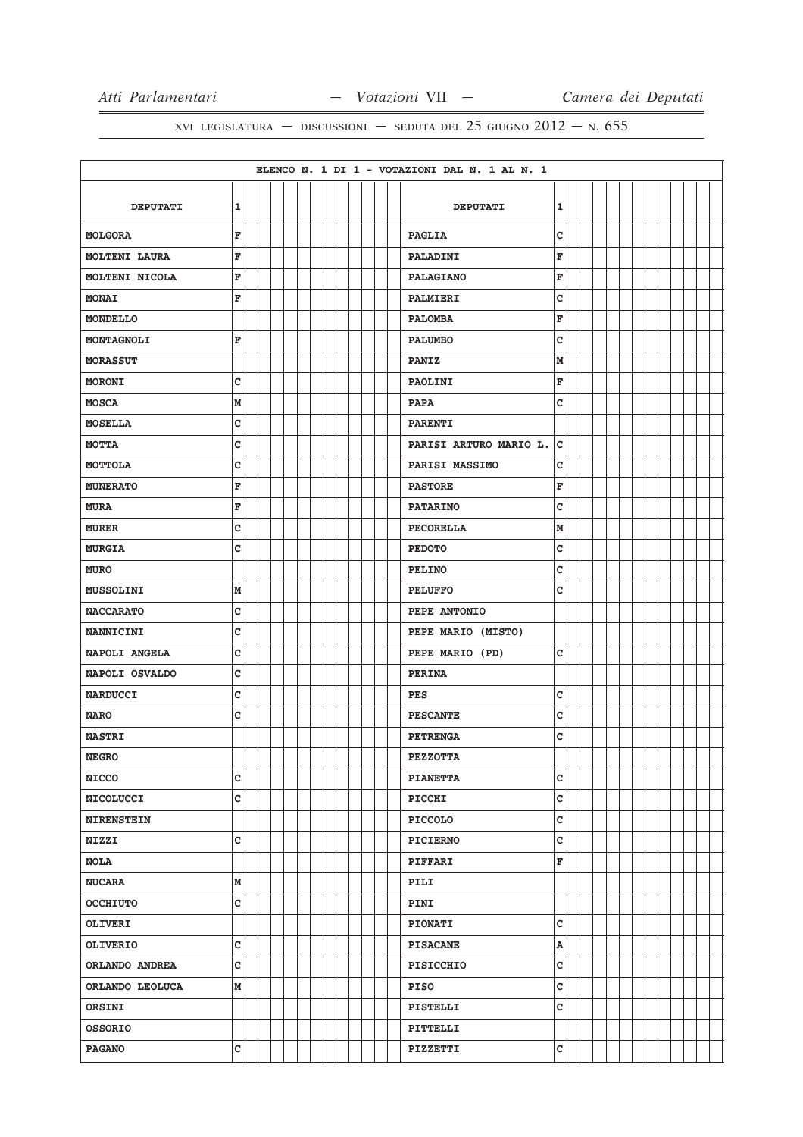|                   |              |  |  |  |  |  | ELENCO N. 1 DI 1 - VOTAZIONI DAL N. 1 AL N. 1 |
|-------------------|--------------|--|--|--|--|--|-----------------------------------------------|
|                   |              |  |  |  |  |  |                                               |
| <b>DEPUTATI</b>   | $\mathbf 1$  |  |  |  |  |  | 1<br><b>DEPUTATI</b>                          |
| <b>MOLGORA</b>    | F            |  |  |  |  |  | C<br><b>PAGLIA</b>                            |
| MOLTENI LAURA     | F            |  |  |  |  |  | F<br>PALADINI                                 |
| MOLTENI NICOLA    | F            |  |  |  |  |  | F<br><b>PALAGIANO</b>                         |
| <b>MONAI</b>      | F            |  |  |  |  |  | c<br>PALMIERI                                 |
| MONDELLO          |              |  |  |  |  |  | F<br><b>PALOMBA</b>                           |
| MONTAGNOLI        | F            |  |  |  |  |  | $\mathtt{C}$<br><b>PALUMBO</b>                |
| <b>MORASSUT</b>   |              |  |  |  |  |  | M<br><b>PANIZ</b>                             |
| <b>MORONI</b>     | C            |  |  |  |  |  | F<br>PAOLINI                                  |
| <b>MOSCA</b>      | M            |  |  |  |  |  | c<br><b>PAPA</b>                              |
| <b>MOSELLA</b>    | c            |  |  |  |  |  | <b>PARENTI</b>                                |
| МОТТА             | c            |  |  |  |  |  | c<br>PARISI ARTURO MARIO L.                   |
| MOTTOLA           | C            |  |  |  |  |  | C<br>PARISI MASSIMO                           |
| <b>MUNERATO</b>   | F            |  |  |  |  |  | F<br><b>PASTORE</b>                           |
| <b>MURA</b>       | F            |  |  |  |  |  | c<br><b>PATARINO</b>                          |
| <b>MURER</b>      | C            |  |  |  |  |  | M<br><b>PECORELLA</b>                         |
| <b>MURGIA</b>     | c            |  |  |  |  |  | c<br><b>PEDOTO</b>                            |
| <b>MURO</b>       |              |  |  |  |  |  | c<br><b>PELINO</b>                            |
| MUSSOLINI         | М            |  |  |  |  |  | c<br><b>PELUFFO</b>                           |
| <b>NACCARATO</b>  | C            |  |  |  |  |  | PEPE ANTONIO                                  |
| <b>NANNICINI</b>  | c            |  |  |  |  |  | PEPE MARIO (MISTO)                            |
| NAPOLI ANGELA     | c            |  |  |  |  |  | c<br>PEPE MARIO (PD)                          |
| NAPOLI OSVALDO    | C            |  |  |  |  |  | <b>PERINA</b>                                 |
| <b>NARDUCCI</b>   | C            |  |  |  |  |  | c<br><b>PES</b>                               |
| <b>NARO</b>       | C            |  |  |  |  |  | c<br><b>PESCANTE</b>                          |
| <b>NASTRI</b>     |              |  |  |  |  |  | C<br><b>PETRENGA</b>                          |
| <b>NEGRO</b>      |              |  |  |  |  |  | <b>PEZZOTTA</b>                               |
| <b>NICCO</b>      | c            |  |  |  |  |  | $\mathtt{C}$<br><b>PIANETTA</b>               |
| <b>NICOLUCCI</b>  | c            |  |  |  |  |  | $\mathtt{C}$<br>PICCHI                        |
| <b>NIRENSTEIN</b> |              |  |  |  |  |  | C<br><b>PICCOLO</b>                           |
| <b>NIZZI</b>      | c            |  |  |  |  |  | $\mathtt{C}$<br><b>PICIERNO</b>               |
| <b>NOLA</b>       |              |  |  |  |  |  | F<br><b>PIFFARI</b>                           |
| <b>NUCARA</b>     | M            |  |  |  |  |  | <b>PILI</b>                                   |
| <b>OCCHIUTO</b>   | c            |  |  |  |  |  | PINI                                          |
| <b>OLIVERI</b>    |              |  |  |  |  |  | $\mathtt{C}$<br><b>PIONATI</b>                |
| <b>OLIVERIO</b>   | C            |  |  |  |  |  | A<br><b>PISACANE</b>                          |
| ORLANDO ANDREA    | $\mathtt{C}$ |  |  |  |  |  | C<br>PISICCHIO                                |
| ORLANDO LEOLUCA   | М            |  |  |  |  |  | $\mathtt{C}$<br>PISO                          |
| ORSINI            |              |  |  |  |  |  | C<br>PISTELLI                                 |
| <b>OSSORIO</b>    |              |  |  |  |  |  | PITTELLI                                      |
| <b>PAGANO</b>     | C            |  |  |  |  |  | c<br>PIZZETTI                                 |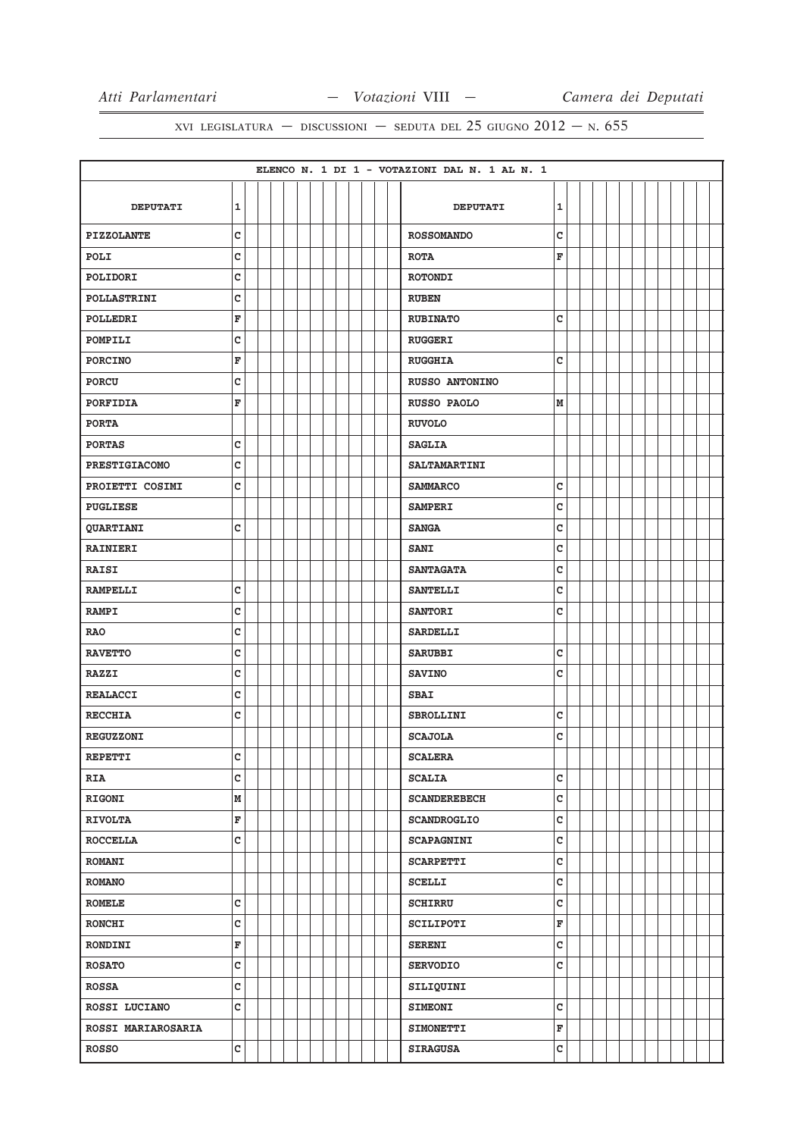|                           |              |  |  |  |  |  | ELENCO N. 1 DI 1 - VOTAZIONI DAL N. 1 AL N. 1 |             |  |  |  |  |  |
|---------------------------|--------------|--|--|--|--|--|-----------------------------------------------|-------------|--|--|--|--|--|
|                           |              |  |  |  |  |  |                                               |             |  |  |  |  |  |
| <b>DEPUTATI</b>           | $\mathbf 1$  |  |  |  |  |  | <b>DEPUTATI</b>                               | 1           |  |  |  |  |  |
| <b>PIZZOLANTE</b>         | $\mathbf c$  |  |  |  |  |  | <b>ROSSOMANDO</b>                             | C           |  |  |  |  |  |
| POLI                      | C            |  |  |  |  |  | <b>ROTA</b>                                   | F           |  |  |  |  |  |
| POLIDORI                  | C            |  |  |  |  |  | <b>ROTONDI</b>                                |             |  |  |  |  |  |
| <b>POLLASTRINI</b>        | C            |  |  |  |  |  | <b>RUBEN</b>                                  |             |  |  |  |  |  |
| POLLEDRI                  | F            |  |  |  |  |  | <b>RUBINATO</b>                               | c           |  |  |  |  |  |
| POMPILI                   | C            |  |  |  |  |  | <b>RUGGERI</b>                                |             |  |  |  |  |  |
| <b>PORCINO</b>            | F            |  |  |  |  |  | <b>RUGGHIA</b>                                | c           |  |  |  |  |  |
| <b>PORCU</b>              | $\mathbf c$  |  |  |  |  |  | <b>RUSSO ANTONINO</b>                         |             |  |  |  |  |  |
| <b>PORFIDIA</b>           | F            |  |  |  |  |  | RUSSO PAOLO                                   | М           |  |  |  |  |  |
| <b>PORTA</b>              |              |  |  |  |  |  | <b>RUVOLO</b>                                 |             |  |  |  |  |  |
| <b>PORTAS</b>             | C            |  |  |  |  |  | <b>SAGLIA</b>                                 |             |  |  |  |  |  |
| <b>PRESTIGIACOMO</b>      | c            |  |  |  |  |  | <b>SALTAMARTINI</b>                           |             |  |  |  |  |  |
| PROIETTI COSIMI           | C            |  |  |  |  |  | <b>SAMMARCO</b>                               | c           |  |  |  |  |  |
| <b>PUGLIESE</b>           |              |  |  |  |  |  | <b>SAMPERI</b>                                | c           |  |  |  |  |  |
| <b>QUARTIANI</b>          | C            |  |  |  |  |  | <b>SANGA</b>                                  | c           |  |  |  |  |  |
| <b>RAINIERI</b>           |              |  |  |  |  |  | <b>SANI</b>                                   | c           |  |  |  |  |  |
| <b>RAISI</b>              |              |  |  |  |  |  | <b>SANTAGATA</b>                              | c           |  |  |  |  |  |
| <b>RAMPELLI</b>           | C            |  |  |  |  |  | <b>SANTELLI</b>                               | c           |  |  |  |  |  |
| <b>RAMPI</b>              | C            |  |  |  |  |  | <b>SANTORI</b>                                | c           |  |  |  |  |  |
| <b>RAO</b>                | c            |  |  |  |  |  | SARDELLI                                      |             |  |  |  |  |  |
| <b>RAVETTO</b>            | c            |  |  |  |  |  | <b>SARUBBI</b>                                | c           |  |  |  |  |  |
| <b>RAZZI</b>              | $\mathbf{C}$ |  |  |  |  |  | <b>SAVINO</b>                                 | C           |  |  |  |  |  |
| <b>REALACCI</b>           | C            |  |  |  |  |  | <b>SBAI</b>                                   |             |  |  |  |  |  |
| <b>RECCHIA</b>            | c            |  |  |  |  |  | <b>SBROLLINI</b>                              | c           |  |  |  |  |  |
| <b>REGUZZONI</b>          |              |  |  |  |  |  | <b>SCAJOLA</b>                                | c           |  |  |  |  |  |
| <b>REPETTI</b>            | c            |  |  |  |  |  | <b>SCALERA</b>                                |             |  |  |  |  |  |
| <b>RIA</b>                | c            |  |  |  |  |  | <b>SCALIA</b>                                 | C           |  |  |  |  |  |
| <b>RIGONI</b>             | M            |  |  |  |  |  | <b>SCANDEREBECH</b>                           | c           |  |  |  |  |  |
| <b>RIVOLTA</b>            | F            |  |  |  |  |  | <b>SCANDROGLIO</b>                            | c           |  |  |  |  |  |
| <b>ROCCELLA</b>           | $\mathbf c$  |  |  |  |  |  | <b>SCAPAGNINI</b>                             | C           |  |  |  |  |  |
| <b>ROMANI</b>             |              |  |  |  |  |  | <b>SCARPETTI</b>                              | c           |  |  |  |  |  |
| <b>ROMANO</b>             |              |  |  |  |  |  | <b>SCELLI</b>                                 | c           |  |  |  |  |  |
| <b>ROMELE</b>             | C            |  |  |  |  |  | <b>SCHIRRU</b>                                | c           |  |  |  |  |  |
| <b>RONCHI</b>             | c            |  |  |  |  |  | SCILIPOTI                                     | $\mathbf F$ |  |  |  |  |  |
| <b>RONDINI</b>            | F            |  |  |  |  |  | <b>SERENI</b>                                 | c           |  |  |  |  |  |
| <b>ROSATO</b>             | $\mathbf c$  |  |  |  |  |  | <b>SERVODIO</b>                               | c           |  |  |  |  |  |
| <b>ROSSA</b>              | $\mathbf c$  |  |  |  |  |  | SILIQUINI                                     |             |  |  |  |  |  |
| ROSSI LUCIANO             | c            |  |  |  |  |  | <b>SIMEONI</b>                                | c           |  |  |  |  |  |
| <b>ROSSI MARIAROSARIA</b> |              |  |  |  |  |  | <b>SIMONETTI</b>                              | $\mathbf F$ |  |  |  |  |  |
| <b>ROSSO</b>              | c            |  |  |  |  |  | <b>SIRAGUSA</b>                               | c           |  |  |  |  |  |